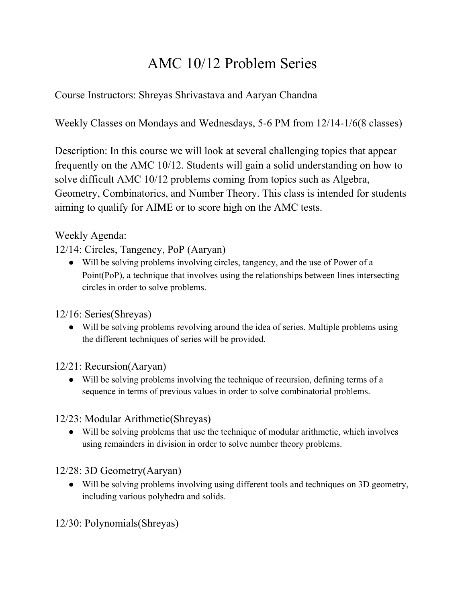## AMC 10/12 Problem Series

Course Instructors: Shreyas Shrivastava and Aaryan Chandna

Weekly Classes on Mondays and Wednesdays, 5-6 PM from 12/14-1/6(8 classes)

Description: In this course we will look at several challenging topics that appear frequently on the AMC 10/12. Students will gain a solid understanding on how to solve difficult AMC 10/12 problems coming from topics such as Algebra, Geometry, Combinatorics, and Number Theory. This class is intended for students aiming to qualify for AIME or to score high on the AMC tests.

## Weekly Agenda:

12/14: Circles, Tangency, PoP (Aaryan)

● Will be solving problems involving circles, tangency, and the use of Power of a Point(PoP), a technique that involves using the relationships between lines intersecting circles in order to solve problems.

12/16: Series(Shreyas)

● Will be solving problems revolving around the idea of series. Multiple problems using the different techniques of series will be provided.

12/21: Recursion(Aaryan)

● Will be solving problems involving the technique of recursion, defining terms of a sequence in terms of previous values in order to solve combinatorial problems.

12/23: Modular Arithmetic(Shreyas)

● Will be solving problems that use the technique of modular arithmetic, which involves using remainders in division in order to solve number theory problems.

12/28: 3D Geometry(Aaryan)

● Will be solving problems involving using different tools and techniques on 3D geometry, including various polyhedra and solids.

12/30: Polynomials(Shreyas)